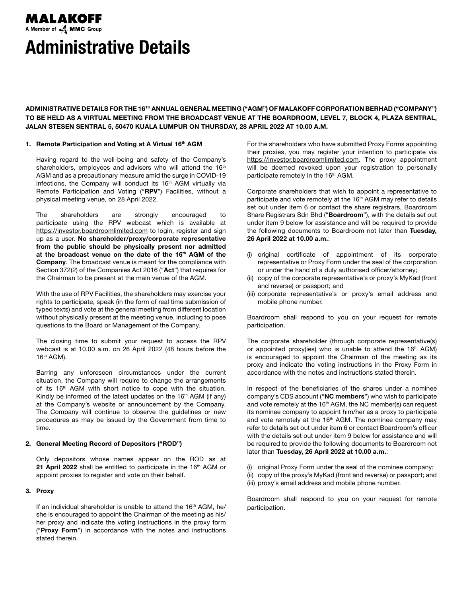# A Member of **A MMC** Group Administrative Details

MALAKOFF

ADMINISTRATIVE DETAILS FOR THE 16TH ANNUAL GENERAL MEETING ("AGM") OF MALAKOFF CORPORATION BERHAD ("COMPANY") TO BE HELD AS A VIRTUAL MEETING FROM THE BROADCAST VENUE AT THE BOARDROOM, LEVEL 7, BLOCK 4, PLAZA SENTRAL, JALAN STESEN SENTRAL 5, 50470 KUALA LUMPUR ON THURSDAY, 28 APRIL 2022 AT 10.00 A.M.

## 1. Remote Participation and Voting at A Virtual 16th AGM

Having regard to the well-being and safety of the Company's shareholders, employees and advisers who will attend the 16<sup>th</sup> AGM and as a precautionary measure amid the surge in COVID-19 infections, the Company will conduct its 16<sup>th</sup> AGM virtually via Remote Participation and Voting ("RPV") Facilities, without a physical meeting venue, on 28 April 2022.

The shareholders are strongly encouraged to participate using the RPV webcast which is available at https://investor.boardroomlimited.com to login, register and sign up as a user. No shareholder/proxy/corporate representative from the public should be physically present nor admitted at the broadcast venue on the date of the 16<sup>th</sup> AGM of the Company. The broadcast venue is meant for the compliance with Section 372(2) of the Companies Act 2016 ("Act") that requires for the Chairman to be present at the main venue of the AGM.

With the use of RPV Facilities, the shareholders may exercise your rights to participate, speak (in the form of real time submission of typed texts) and vote at the general meeting from different location without physically present at the meeting venue, including to pose questions to the Board or Management of the Company.

The closing time to submit your request to access the RPV webcast is at 10.00 a.m. on 26 April 2022 (48 hours before the 16th AGM).

Barring any unforeseen circumstances under the current situation, the Company will require to change the arrangements of its 16<sup>th</sup> AGM with short notice to cope with the situation. Kindly be informed of the latest updates on the  $16<sup>th</sup>$  AGM (if any) at the Company's website or announcement by the Company. The Company will continue to observe the guidelines or new procedures as may be issued by the Government from time to time.

# 2. General Meeting Record of Depositors ("ROD")

Only depositors whose names appear on the ROD as at 21 April 2022 shall be entitled to participate in the 16<sup>th</sup> AGM or appoint proxies to register and vote on their behalf.

# 3. Proxy

If an individual shareholder is unable to attend the  $16<sup>th</sup>$  AGM, he/ she is encouraged to appoint the Chairman of the meeting as his/ her proxy and indicate the voting instructions in the proxy form ("Proxy Form") in accordance with the notes and instructions stated therein.

For the shareholders who have submitted Proxy Forms appointing their proxies, you may register your intention to participate via https://investor.boardroomlimited.com. The proxy appointment will be deemed revoked upon your registration to personally participate remotely in the 16<sup>th</sup> AGM.

Corporate shareholders that wish to appoint a representative to participate and vote remotely at the 16<sup>th</sup> AGM may refer to details set out under item 6 or contact the share registrars, Boardroom Share Registrars Sdn Bhd ("Boardroom"), with the details set out under item 9 below for assistance and will be required to provide the following documents to Boardroom not later than Tuesday, 26 April 2022 at 10.00 a.m.:

- (i) original certificate of appointment of its corporate representative or Proxy Form under the seal of the corporation or under the hand of a duly authorised officer/attorney;
- (ii) copy of the corporate representative's or proxy's MyKad (front and reverse) or passport; and
- (iii) corporate representative's or proxy's email address and mobile phone number.

Boardroom shall respond to you on your request for remote participation.

The corporate shareholder (through corporate representative(s) or appointed proxy(ies) who is unable to attend the  $16<sup>th</sup>$  AGM) is encouraged to appoint the Chairman of the meeting as its proxy and indicate the voting instructions in the Proxy Form in accordance with the notes and instructions stated therein.

In respect of the beneficiaries of the shares under a nominee company's CDS account ("NC members") who wish to participate and vote remotely at the 16<sup>th</sup> AGM, the NC member(s) can request its nominee company to appoint him/her as a proxy to participate and vote remotely at the 16<sup>th</sup> AGM. The nominee company may refer to details set out under item 6 or contact Boardroom's officer with the details set out under item 9 below for assistance and will be required to provide the following documents to Boardroom not later than Tuesday, 26 April 2022 at 10.00 a.m.:

(i) original Proxy Form under the seal of the nominee company; (ii) copy of the proxy's MyKad (front and reverse) or passport; and

(iii) proxy's email address and mobile phone number.

Boardroom shall respond to you on your request for remote participation.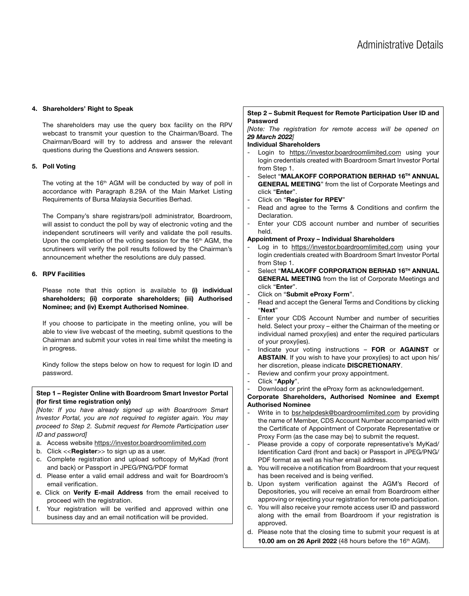## 4. Shareholders' Right to Speak

The shareholders may use the query box facility on the RPV webcast to transmit your question to the Chairman/Board. The Chairman/Board will try to address and answer the relevant questions during the Questions and Answers session.

## 5. Poll Voting

The voting at the 16<sup>th</sup> AGM will be conducted by way of poll in accordance with Paragraph 8.29A of the Main Market Listing Requirements of Bursa Malaysia Securities Berhad.

The Company's share registrars/poll administrator, Boardroom, will assist to conduct the poll by way of electronic voting and the independent scrutineers will verify and validate the poll results. Upon the completion of the voting session for the 16<sup>th</sup> AGM, the scrutineers will verify the poll results followed by the Chairman's announcement whether the resolutions are duly passed.

## 6. RPV Facilities

Please note that this option is available to (i) individual shareholders; (ii) corporate shareholders; (iii) Authorised Nominee; and (iv) Exempt Authorised Nominee.

If you choose to participate in the meeting online, you will be able to view live webcast of the meeting, submit questions to the Chairman and submit your votes in real time whilst the meeting is in progress.

Kindy follow the steps below on how to request for login ID and password.

# Step 1 – Register Online with Boardroom Smart Investor Portal (for first time registration only)

*[Note: If you have already signed up with Boardroom Smart Investor Portal, you are not required to register again. You may proceed to Step 2. Submit request for Remote Participation user ID and password]*

- a. Access website https://investor.boardroomlimited.com
- b. Click << Register> to sign up as a user.
- c. Complete registration and upload softcopy of MyKad (front and back) or Passport in JPEG/PNG/PDF format
- d. Please enter a valid email address and wait for Boardroom's email verification.
- e. Click on Verify E-mail Address from the email received to proceed with the registration.
- f. Your registration will be verified and approved within one business day and an email notification will be provided.

# Step 2 – Submit Request for Remote Participation User ID and Password

*[Note: The registration for remote access will be opened on 29 March 2022]*

#### Individual Shareholders

- Login to https://investor.boardroomlimited.com using your login credentials created with Boardroom Smart Investor Portal from Step 1.
- Select "MALAKOFF CORPORATION BERHAD 16TH ANNUAL GENERAL MEETING" from the list of Corporate Meetings and click "Enter".
- Click on "Register for RPEV"
- Read and agree to the Terms & Conditions and confirm the Declaration.
- Enter your CDS account number and number of securities held.

### Appointment of Proxy – Individual Shareholders

- Log in to https://investor.boardroomlimited.com using your login credentials created with Boardroom Smart Investor Portal from Step 1.
- Select "MALAKOFF CORPORATION BERHAD 16TH ANNUAL GENERAL MEETING from the list of Corporate Meetings and click "Enter".
- Click on "Submit eProxy Form".
- Read and accept the General Terms and Conditions by clicking "Next"
- Enter your CDS Account Number and number of securities held. Select your proxy – either the Chairman of the meeting or individual named proxy(ies) and enter the required particulars of your proxy(ies).
- Indicate your voting instructions FOR or AGAINST or ABSTAIN. If you wish to have your proxy(ies) to act upon his/ her discretion, please indicate DISCRETIONARY.
- Review and confirm your proxy appointment.
- Click "Apply".
- Download or print the eProxy form as acknowledgement.

# Corporate Shareholders, Authorised Nominee and Exempt Authorised Nominee

- Write in to bsr.helpdesk@boardroomlimited.com by providing the name of Member, CDS Account Number accompanied with the Certificate of Appointment of Corporate Representative or Proxy Form (as the case may be) to submit the request.
- Please provide a copy of corporate representative's MyKad/ Identification Card (front and back) or Passport in JPEG/PNG/ PDF format as well as his/her email address.
- a. You will receive a notification from Boardroom that your request has been received and is being verified.
- b. Upon system verification against the AGM's Record of Depositories, you will receive an email from Boardroom either approving or rejecting your registration for remote participation.
- c. You will also receive your remote access user ID and password along with the email from Boardroom if your registration is approved.
- d. Please note that the closing time to submit your request is at 10.00 am on 26 April 2022 (48 hours before the  $16<sup>th</sup>$  AGM).